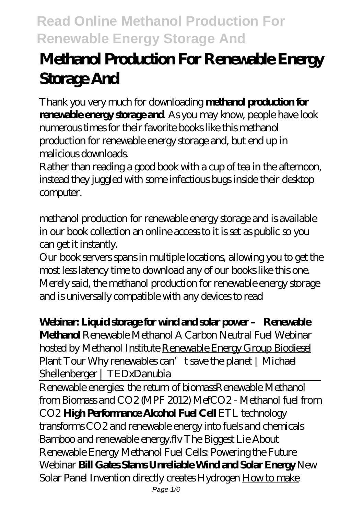# **Methanol Production For Renewable Energy Storage And**

Thank you very much for downloading **methanol production for renewable energy storage and**. As you may know, people have look numerous times for their favorite books like this methanol production for renewable energy storage and, but end up in malicious downloads

Rather than reading a good book with a cup of tea in the afternoon, instead they juggled with some infectious bugs inside their desktop computer.

methanol production for renewable energy storage and is available in our book collection an online access to it is set as public so you can get it instantly.

Our book servers spans in multiple locations, allowing you to get the most less latency time to download any of our books like this one. Merely said, the methanol production for renewable energy storage and is universally compatible with any devices to read

### **Webinar: Liquid storage for wind and solar power – Renewable**

**Methanol** *Renewable Methanol A Carbon Neutral Fuel Webinar hosted by Methanol Institute* Renewable Energy Group Biodiesel Plant Tour *Why renewables can't save the planet | Michael Shellenberger | TEDxDanubia*

Renewable energies: the return of biomassRenewable Methanol from Biomass and CO2 (MPF 2012) MefCO2 - Methanol fuel from CO2 **High Performance Alcohol Fuel Cell** *ETL technology transforms CO2 and renewable energy into fuels and chemicals* Bamboo and renewable energy.flv The Biggest Lie About Renewable Energy Methanol Fuel Cells: Powering the Future Webinar **Bill Gates Slams Unreliable Wind and Solar Energy** New Solar Panel Invention directly creates Hydrogen How to make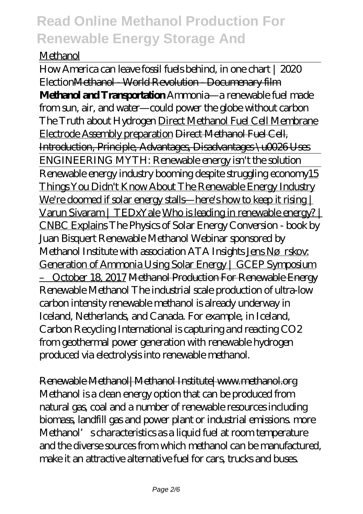#### Methanol

How America can leave fossil fuels behind, in one chart | 2020 ElectionMethanol - World Revolution - Documenary film **Methanol and Transportation** *Ammonia—a renewable fuel made from sun, air, and water—could power the globe without carbon The Truth about Hydrogen* Direct Methanol Fuel Cell Membrane Electrode Assembly preparation Direct Methanol Fuel Cell, Introduction, Principle, Advantages, Disadvantages \u0026 Uses ENGINEERING MYTH: Renewable energy isn't the solution Renewable energy industry booming despite struggling economy15 Things You Didn't Know About The Renewable Energy Industry We're doomed if solar energy stalls—here's how to keep it rising | Varun Sivaram | TEDxYale Who is leading in renewable energy? | CNBC Explains The Physics of Solar Energy Conversion - book by Juan Bisquert Renewable Methanol Webinar sponsored by Methanol Institute with association ATA Insights Jens Nørskov: Generation of Ammonia Using Solar Energy | GCEP Symposium – October 18, 2017 Methanol Production For Renewable Energy Renewable Methanol The industrial scale production of ultra-low carbon intensity renewable methanol is already underway in Iceland, Netherlands, and Canada. For example, in Iceland, Carbon Recycling International is capturing and reacting CO2 from geothermal power generation with renewable hydrogen produced via electrolysis into renewable methanol.

Renewable Methanol|Methanol Institute|www.methanol.org Methanol is a clean energy option that can be produced from natural gas, coal and a number of renewable resources including biomass, landfill gas and power plant or industrial emissions. more Methanol's characteristics as a liquid fuel at room temperature and the diverse sources from which methanol can be manufactured, make it an attractive alternative fuel for cars, trucks and buses.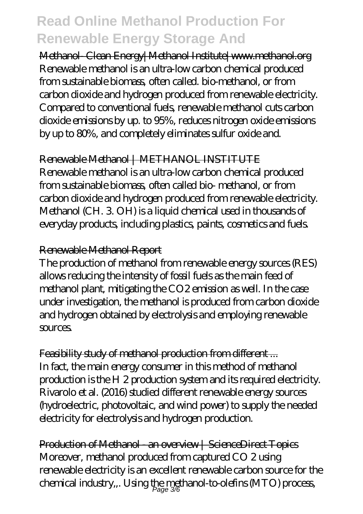Methanol- Clean Energy|Methanol Institute|www.methanol.org Renewable methanol is an ultra-low carbon chemical produced from sustainable biomass, often called. bio-methanol, or from carbon dioxide and hydrogen produced from renewable electricity. Compared to conventional fuels, renewable methanol cuts carbon dioxide emissions by up. to 95%, reduces nitrogen oxide emissions by up to 80%, and completely eliminates sulfur oxide and.

Renewable Methanol | METHANOL INSTITUTE

Renewable methanol is an ultra-low carbon chemical produced from sustainable biomass, often called bio- methanol, or from carbon dioxide and hydrogen produced from renewable electricity. Methanol (CH. 3. OH) is a liquid chemical used in thousands of everyday products, including plastics, paints, cosmetics and fuels.

#### Renewable Methanol Report

The production of methanol from renewable energy sources (RES) allows reducing the intensity of fossil fuels as the main feed of methanol plant, mitigating the CO2 emission as well. In the case under investigation, the methanol is produced from carbon dioxide and hydrogen obtained by electrolysis and employing renewable sources.

Feasibility study of methanol production from different... In fact, the main energy consumer in this method of methanol production is the H 2 production system and its required electricity. Rivarolo et al. (2016) studied different renewable energy sources (hydroelectric, photovoltaic, and wind power) to supply the needed electricity for electrolysis and hydrogen production.

Production of Methanol - an overview | ScienceDirect Topics Moreover, methanol produced from captured CO 2 using renewable electricity is an excellent renewable carbon source for the chemical industry,,. Using the methanol-to-olefins (MTO) process, Page 3/6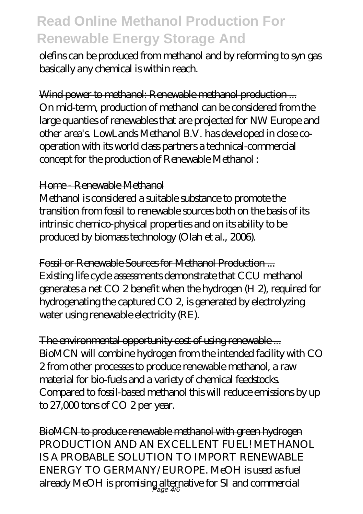olefins can be produced from methanol and by reforming to syn gas basically any chemical is within reach.

Wind power to methanol: Renewable methanol production... On mid-term, production of methanol can be considered from the large quanties of renewables that are projected for NW Europe and other area's. LowLands Methanol B.V. has developed in close cooperation with its world class partners a technical-commercial concept for the production of Renewable Methanol :

#### Home - Renewable Methanol

Methanol is considered a suitable substance to promote the transition from fossil to renewable sources both on the basis of its intrinsic chemico-physical properties and on its ability to be produced by biomass technology (Olah et al., 2006).

Fossil or Renewable Sources for Methanol Production ... Existing life cycle assessments demonstrate that CCU methanol generates a net CO 2 benefit when the hydrogen (H 2), required for hydrogenating the captured CO 2, is generated by electrolyzing water using renewable electricity (RE).

The environmental opportunity cost of using renewable ... BioMCN will combine hydrogen from the intended facility with CO 2 from other processes to produce renewable methanol, a raw material for bio-fuels and a variety of chemical feedstocks. Compared to fossil-based methanol this will reduce emissions by up to 27,000 tons of CO 2 per year.

BioMCN to produce renewable methanol with green hydrogen PRODUCTION AND AN EXCELLENT FUEL! METHANOL IS A PROBABLE SOLUTION TO IMPORT RENEWABLE ENERGY TO GERMANY/EUROPE. MeOH is used as fuel already MeOH is promising alternative for SI and commercial Page 4/6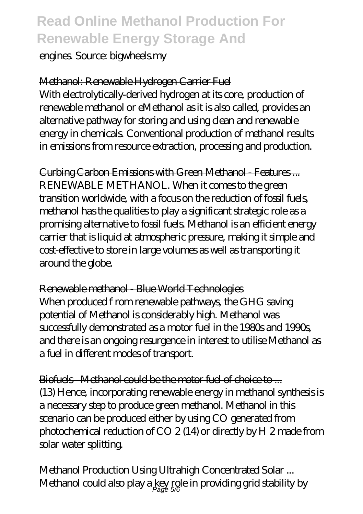engines. Source: bigwheels.my

Methanol: Renewable Hydrogen Carrier Fuel With electrolytically-derived hydrogen at its core, production of renewable methanol or eMethanol as it is also called, provides an alternative pathway for storing and using clean and renewable energy in chemicals. Conventional production of methanol results in emissions from resource extraction, processing and production.

Curbing Carbon Emissions with Green Methanol - Features ... RENEWABLE METHANOL. When it comes to the green transition worldwide, with a focus on the reduction of fossil fuels, methanol has the qualities to play a significant strategic role as a promising alternative to fossil fuels. Methanol is an efficient energy carrier that is liquid at atmospheric pressure, making it simple and cost-effective to store in large volumes as well as transporting it around the globe.

Renewable methanol - Blue World Technologies When produced f rom renewable pathways, the GHG saving potential of Methanol is considerably high. Methanol was successfully demonstrated as a motor fuel in the 1980s and 1990s, and there is an ongoing resurgence in interest to utilise Methanol as a fuel in different modes of transport.

Biofuels - Methanol could be the motor fuel of choice to ... (13) Hence, incorporating renewable energy in methanol synthesis is a necessary step to produce green methanol. Methanol in this scenario can be produced either by using CO generated from photochemical reduction of CO 2 (14) or directly by H 2 made from solar water splitting.

Methanol Production Using Ultrahigh Concentrated Solar ... Methanol could also play a  $\frac{\text{key}}{\text{Page}}$  5%  $\text{in}$  providing grid stability by